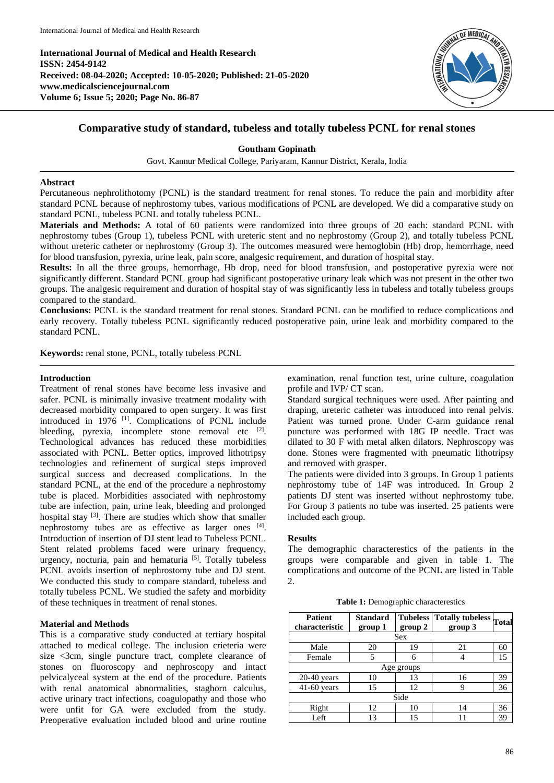**International Journal of Medical and Health Research ISSN: 2454-9142 Received: 08-04-2020; Accepted: 10-05-2020; Published: 21-05-2020 www.medicalsciencejournal.com Volume 6; Issue 5; 2020; Page No. 86-87**



# **Comparative study of standard, tubeless and totally tubeless PCNL for renal stones**

# **Goutham Gopinath**

Govt. Kannur Medical College, Pariyaram, Kannur District, Kerala, India

## **Abstract**

Percutaneous nephrolithotomy (PCNL) is the standard treatment for renal stones. To reduce the pain and morbidity after standard PCNL because of nephrostomy tubes, various modifications of PCNL are developed. We did a comparative study on standard PCNL, tubeless PCNL and totally tubeless PCNL.

**Materials and Methods:** A total of 60 patients were randomized into three groups of 20 each: standard PCNL with nephrostomy tubes (Group 1), tubeless PCNL with ureteric stent and no nephrostomy (Group 2), and totally tubeless PCNL without ureteric catheter or nephrostomy (Group 3). The outcomes measured were hemoglobin (Hb) drop, hemorrhage, need for blood transfusion, pyrexia, urine leak, pain score, analgesic requirement, and duration of hospital stay.

**Results:** In all the three groups, hemorrhage, Hb drop, need for blood transfusion, and postoperative pyrexia were not significantly different. Standard PCNL group had significant postoperative urinary leak which was not present in the other two groups. The analgesic requirement and duration of hospital stay of was significantly less in tubeless and totally tubeless groups compared to the standard.

**Conclusions:** PCNL is the standard treatment for renal stones. Standard PCNL can be modified to reduce complications and early recovery. Totally tubeless PCNL significantly reduced postoperative pain, urine leak and morbidity compared to the standard PCNL.

**Keywords:** renal stone, PCNL, totally tubeless PCNL

#### **Introduction**

Treatment of renal stones have become less invasive and safer. PCNL is minimally invasive treatment modality with decreased morbidity compared to open surgery. It was first introduced in 1976 <sup>[1]</sup>. Complications of PCNL include bleeding, pyrexia, incomplete stone removal etc  $[2]$ . Technological advances has reduced these morbidities associated with PCNL. Better optics, improved lithotripsy technologies and refinement of surgical steps improved surgical success and decreased complications. In the standard PCNL, at the end of the procedure a nephrostomy tube is placed. Morbidities associated with nephrostomy tube are infection, pain, urine leak, bleeding and prolonged hospital stay <sup>[3]</sup>. There are studies which show that smaller nephrostomy tubes are as effective as larger ones [4]. Introduction of insertion of DJ stent lead to Tubeless PCNL. Stent related problems faced were urinary frequency, urgency, nocturia, pain and hematuria<sup>[5]</sup>. Totally tubeless PCNL avoids insertion of nephrostomy tube and DJ stent. We conducted this study to compare standard, tubeless and totally tubeless PCNL. We studied the safety and morbidity of these techniques in treatment of renal stones.

#### **Material and Methods**

This is a comparative study conducted at tertiary hospital attached to medical college. The inclusion crieteria were size <3cm, single puncture tract, complete clearance of stones on fluoroscopy and nephroscopy and intact pelvicalyceal system at the end of the procedure. Patients with renal anatomical abnormalities, staghorn calculus, active urinary tract infections, coagulopathy and those who were unfit for GA were excluded from the study. Preoperative evaluation included blood and urine routine

examination, renal function test, urine culture, coagulation profile and IVP/ CT scan.

Standard surgical techniques were used. After painting and draping, ureteric catheter was introduced into renal pelvis. Patient was turned prone. Under C-arm guidance renal puncture was performed with 18G IP needle. Tract was dilated to 30 F with metal alken dilators. Nephroscopy was done. Stones were fragmented with pneumatic lithotripsy and removed with grasper.

The patients were divided into 3 groups. In Group 1 patients nephrostomy tube of 14F was introduced. In Group 2 patients DJ stent was inserted without nephrostomy tube. For Group 3 patients no tube was inserted. 25 patients were included each group.

#### **Results**

The demographic characterestics of the patients in the groups were comparable and given in table 1. The complications and outcome of the PCNL are listed in Table  $2^{\circ}$ 

|  |  |  | <b>Table 1:</b> Demographic characterestics |  |
|--|--|--|---------------------------------------------|--|
|--|--|--|---------------------------------------------|--|

| <b>Patient</b><br>characteristic | <b>Standard</b><br>group 1 | <b>Tubeless</b><br>group 2 | <b>Totally tubeless</b><br>group 3 | Total |  |  |  |  |
|----------------------------------|----------------------------|----------------------------|------------------------------------|-------|--|--|--|--|
| Sex                              |                            |                            |                                    |       |  |  |  |  |
| Male                             | 20                         | 19                         | 21                                 | 60    |  |  |  |  |
| Female                           | 5                          | 6                          |                                    | 15    |  |  |  |  |
| Age groups                       |                            |                            |                                    |       |  |  |  |  |
| $20-40$ years                    | 10                         | 13                         | 16                                 | 39    |  |  |  |  |
| $41-60$ years                    | 15                         | 12                         | 9                                  | 36    |  |  |  |  |
| Side                             |                            |                            |                                    |       |  |  |  |  |
| Right                            | 12                         | 10                         | 14                                 | 36    |  |  |  |  |
| Left                             | 13                         | 15                         |                                    | 39    |  |  |  |  |